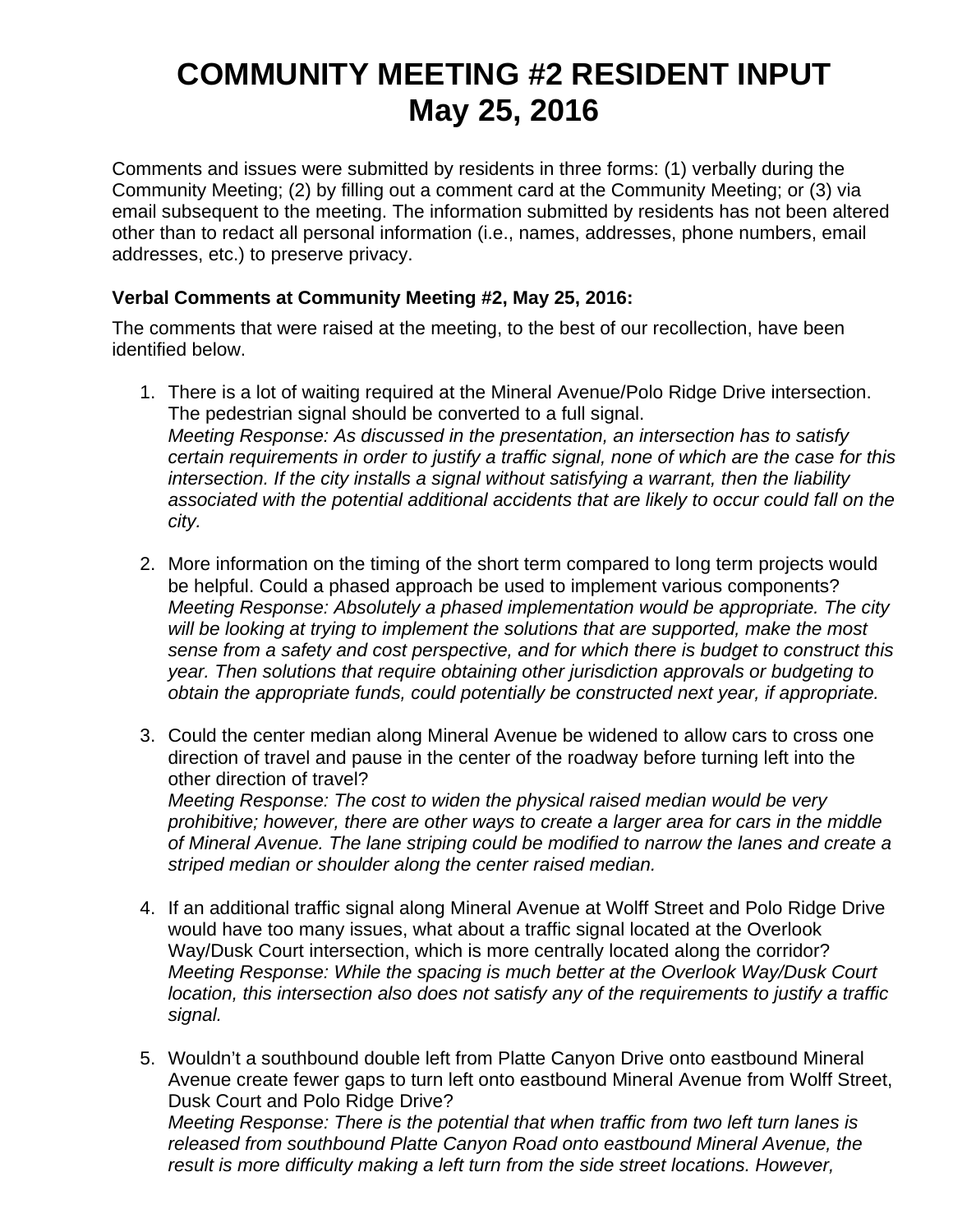## **COMMUNITY MEETING #2 RESIDENT INPUT May 25, 2016**

Comments and issues were submitted by residents in three forms: (1) verbally during the Community Meeting; (2) by filling out a comment card at the Community Meeting; or (3) via email subsequent to the meeting. The information submitted by residents has not been altered other than to redact all personal information (i.e., names, addresses, phone numbers, email addresses, etc.) to preserve privacy.

## **Verbal Comments at Community Meeting #2, May 25, 2016:**

The comments that were raised at the meeting, to the best of our recollection, have been identified below.

- 1. There is a lot of waiting required at the Mineral Avenue/Polo Ridge Drive intersection. The pedestrian signal should be converted to a full signal. *Meeting Response: As discussed in the presentation, an intersection has to satisfy certain requirements in order to justify a traffic signal, none of which are the case for this intersection. If the city installs a signal without satisfying a warrant, then the liability associated with the potential additional accidents that are likely to occur could fall on the city.*
- 2. More information on the timing of the short term compared to long term projects would be helpful. Could a phased approach be used to implement various components? *Meeting Response: Absolutely a phased implementation would be appropriate. The city will be looking at trying to implement the solutions that are supported, make the most sense from a safety and cost perspective, and for which there is budget to construct this year. Then solutions that require obtaining other jurisdiction approvals or budgeting to obtain the appropriate funds, could potentially be constructed next year, if appropriate.*
- 3. Could the center median along Mineral Avenue be widened to allow cars to cross one direction of travel and pause in the center of the roadway before turning left into the other direction of travel? *Meeting Response: The cost to widen the physical raised median would be very prohibitive; however, there are other ways to create a larger area for cars in the middle of Mineral Avenue. The lane striping could be modified to narrow the lanes and create a striped median or shoulder along the center raised median.*
- 4. If an additional traffic signal along Mineral Avenue at Wolff Street and Polo Ridge Drive would have too many issues, what about a traffic signal located at the Overlook Way/Dusk Court intersection, which is more centrally located along the corridor? *Meeting Response: While the spacing is much better at the Overlook Way/Dusk Court location, this intersection also does not satisfy any of the requirements to justify a traffic signal.*
- 5. Wouldn't a southbound double left from Platte Canyon Drive onto eastbound Mineral Avenue create fewer gaps to turn left onto eastbound Mineral Avenue from Wolff Street, Dusk Court and Polo Ridge Drive? *Meeting Response: There is the potential that when traffic from two left turn lanes is released from southbound Platte Canyon Road onto eastbound Mineral Avenue, the result is more difficulty making a left turn from the side street locations. However,*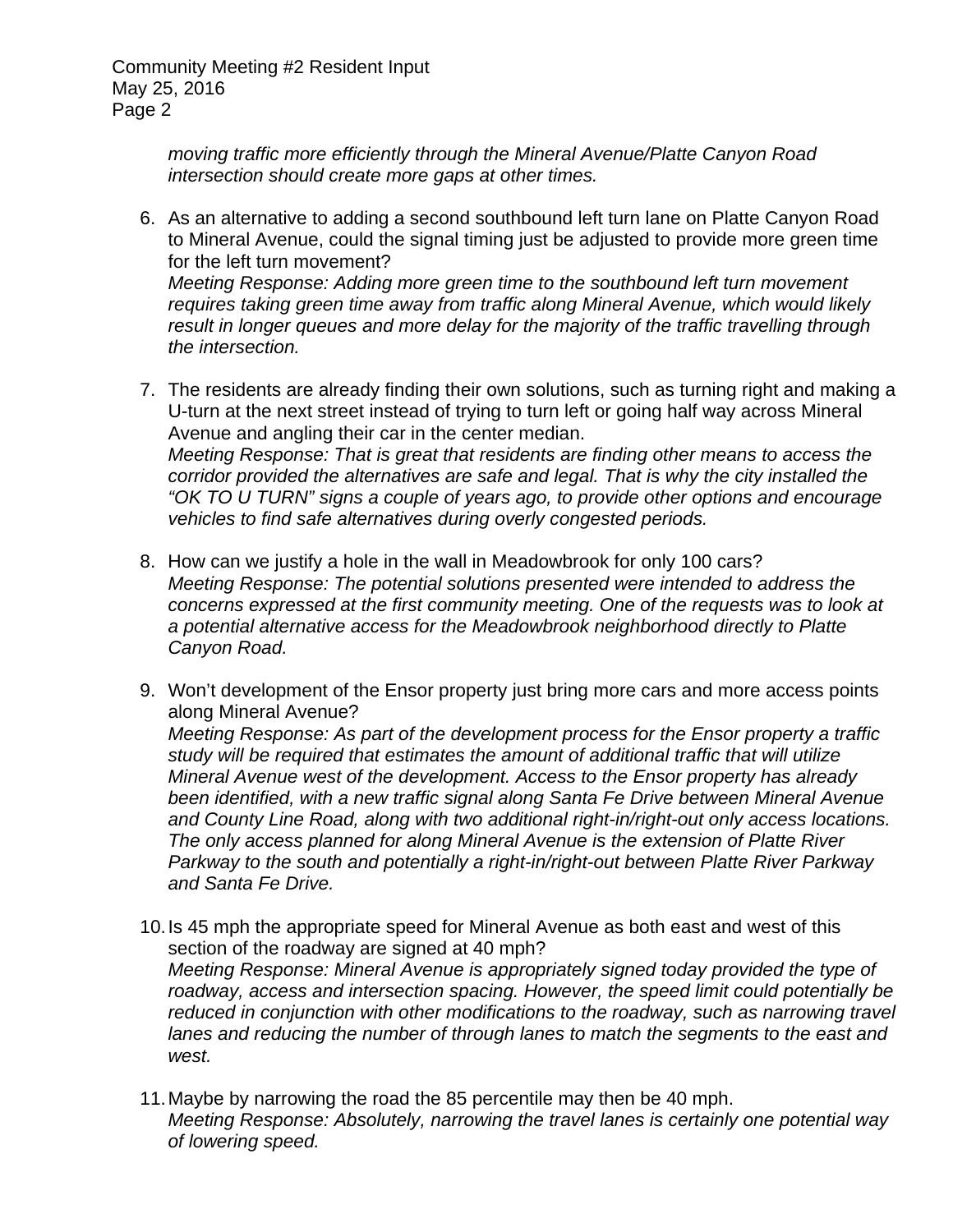> *moving traffic more efficiently through the Mineral Avenue/Platte Canyon Road intersection should create more gaps at other times.*

- 6. As an alternative to adding a second southbound left turn lane on Platte Canyon Road to Mineral Avenue, could the signal timing just be adjusted to provide more green time for the left turn movement? *Meeting Response: Adding more green time to the southbound left turn movement requires taking green time away from traffic along Mineral Avenue, which would likely result in longer queues and more delay for the majority of the traffic travelling through the intersection.*
- 7. The residents are already finding their own solutions, such as turning right and making a U-turn at the next street instead of trying to turn left or going half way across Mineral Avenue and angling their car in the center median. *Meeting Response: That is great that residents are finding other means to access the corridor provided the alternatives are safe and legal. That is why the city installed the "OK TO U TURN" signs a couple of years ago, to provide other options and encourage vehicles to find safe alternatives during overly congested periods.*
- 8. How can we justify a hole in the wall in Meadowbrook for only 100 cars? *Meeting Response: The potential solutions presented were intended to address the concerns expressed at the first community meeting. One of the requests was to look at a potential alternative access for the Meadowbrook neighborhood directly to Platte Canyon Road.*
- 9. Won't development of the Ensor property just bring more cars and more access points along Mineral Avenue? *Meeting Response: As part of the development process for the Ensor property a traffic study will be required that estimates the amount of additional traffic that will utilize Mineral Avenue west of the development. Access to the Ensor property has already been identified, with a new traffic signal along Santa Fe Drive between Mineral Avenue and County Line Road, along with two additional right-in/right-out only access locations. The only access planned for along Mineral Avenue is the extension of Platte River Parkway to the south and potentially a right-in/right-out between Platte River Parkway and Santa Fe Drive.*
- 10. Is 45 mph the appropriate speed for Mineral Avenue as both east and west of this section of the roadway are signed at 40 mph? *Meeting Response: Mineral Avenue is appropriately signed today provided the type of roadway, access and intersection spacing. However, the speed limit could potentially be reduced in conjunction with other modifications to the roadway, such as narrowing travel lanes and reducing the number of through lanes to match the segments to the east and west.*
- 11. Maybe by narrowing the road the 85 percentile may then be 40 mph. *Meeting Response: Absolutely, narrowing the travel lanes is certainly one potential way of lowering speed.*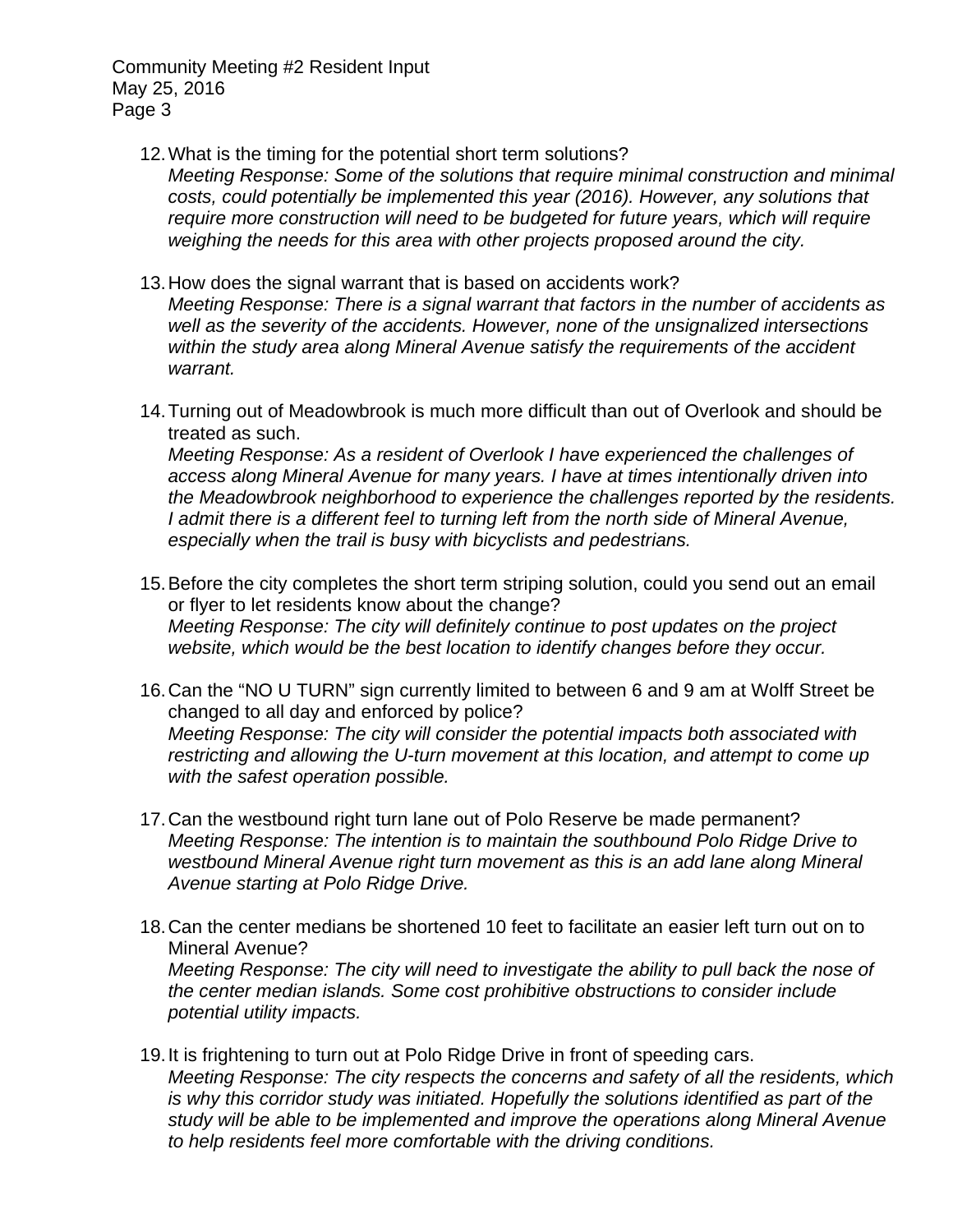12. What is the timing for the potential short term solutions?

*Meeting Response: Some of the solutions that require minimal construction and minimal costs, could potentially be implemented this year (2016). However, any solutions that require more construction will need to be budgeted for future years, which will require weighing the needs for this area with other projects proposed around the city.* 

- 13. How does the signal warrant that is based on accidents work? *Meeting Response: There is a signal warrant that factors in the number of accidents as well as the severity of the accidents. However, none of the unsignalized intersections within the study area along Mineral Avenue satisfy the requirements of the accident warrant.*
- 14. Turning out of Meadowbrook is much more difficult than out of Overlook and should be treated as such.

*Meeting Response: As a resident of Overlook I have experienced the challenges of access along Mineral Avenue for many years. I have at times intentionally driven into the Meadowbrook neighborhood to experience the challenges reported by the residents. I admit there is a different feel to turning left from the north side of Mineral Avenue, especially when the trail is busy with bicyclists and pedestrians.* 

- 15. Before the city completes the short term striping solution, could you send out an email or flyer to let residents know about the change? *Meeting Response: The city will definitely continue to post updates on the project website, which would be the best location to identify changes before they occur.*
- 16. Can the "NO U TURN" sign currently limited to between 6 and 9 am at Wolff Street be changed to all day and enforced by police? *Meeting Response: The city will consider the potential impacts both associated with restricting and allowing the U-turn movement at this location, and attempt to come up with the safest operation possible.*
- 17. Can the westbound right turn lane out of Polo Reserve be made permanent? *Meeting Response: The intention is to maintain the southbound Polo Ridge Drive to westbound Mineral Avenue right turn movement as this is an add lane along Mineral Avenue starting at Polo Ridge Drive.*
- 18. Can the center medians be shortened 10 feet to facilitate an easier left turn out on to Mineral Avenue? *Meeting Response: The city will need to investigate the ability to pull back the nose of the center median islands. Some cost prohibitive obstructions to consider include potential utility impacts.*
- 19. It is frightening to turn out at Polo Ridge Drive in front of speeding cars. *Meeting Response: The city respects the concerns and safety of all the residents, which is why this corridor study was initiated. Hopefully the solutions identified as part of the study will be able to be implemented and improve the operations along Mineral Avenue to help residents feel more comfortable with the driving conditions.*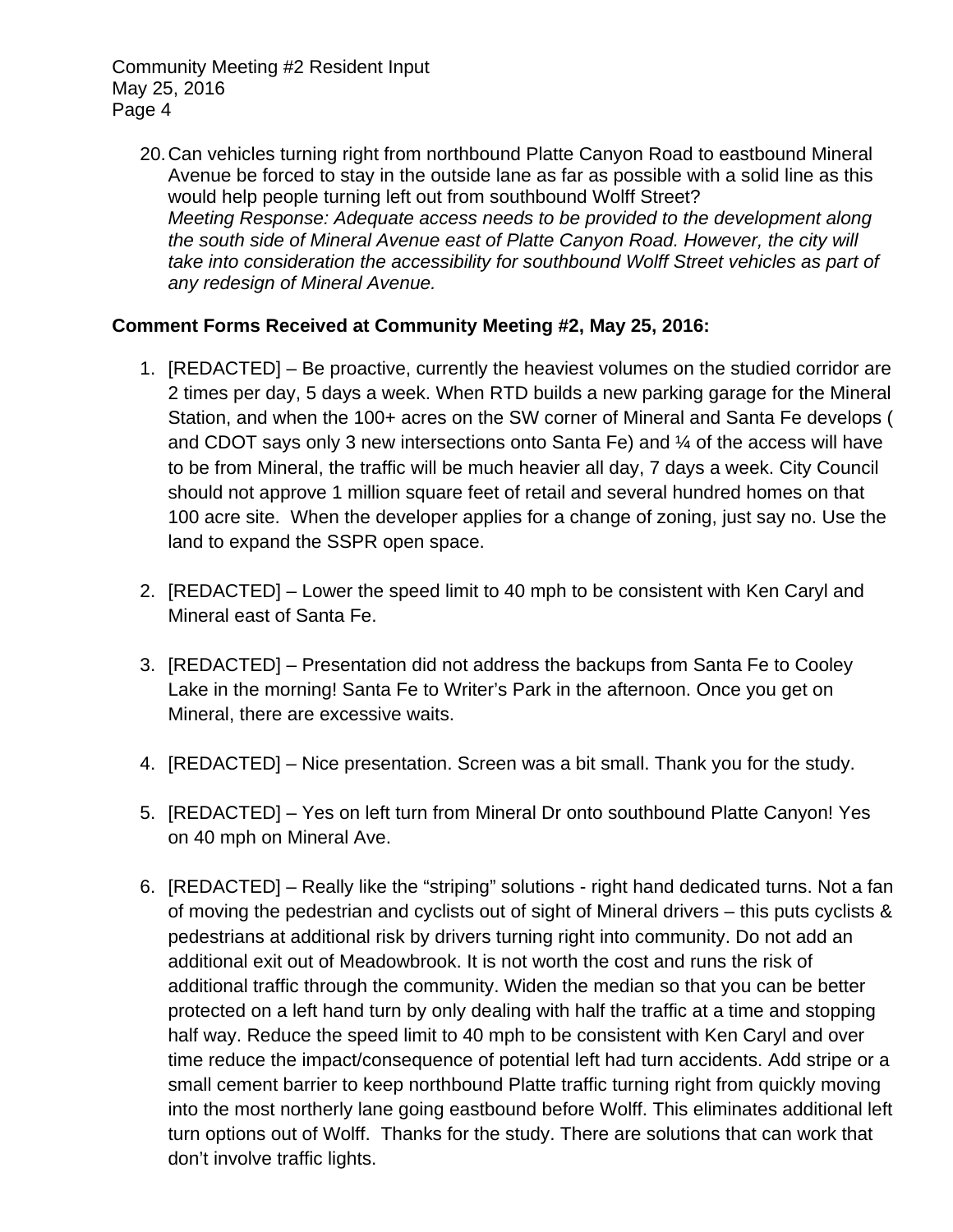20. Can vehicles turning right from northbound Platte Canyon Road to eastbound Mineral Avenue be forced to stay in the outside lane as far as possible with a solid line as this would help people turning left out from southbound Wolff Street? *Meeting Response: Adequate access needs to be provided to the development along the south side of Mineral Avenue east of Platte Canyon Road. However, the city will take into consideration the accessibility for southbound Wolff Street vehicles as part of any redesign of Mineral Avenue.* 

## **Comment Forms Received at Community Meeting #2, May 25, 2016:**

- 1. [REDACTED] Be proactive, currently the heaviest volumes on the studied corridor are 2 times per day, 5 days a week. When RTD builds a new parking garage for the Mineral Station, and when the 100+ acres on the SW corner of Mineral and Santa Fe develops ( and CDOT says only 3 new intersections onto Santa Fe) and  $\frac{1}{4}$  of the access will have to be from Mineral, the traffic will be much heavier all day, 7 days a week. City Council should not approve 1 million square feet of retail and several hundred homes on that 100 acre site. When the developer applies for a change of zoning, just say no. Use the land to expand the SSPR open space.
- 2. [REDACTED] Lower the speed limit to 40 mph to be consistent with Ken Caryl and Mineral east of Santa Fe.
- 3. [REDACTED] Presentation did not address the backups from Santa Fe to Cooley Lake in the morning! Santa Fe to Writer's Park in the afternoon. Once you get on Mineral, there are excessive waits.
- 4. [REDACTED] Nice presentation. Screen was a bit small. Thank you for the study.
- 5. [REDACTED] Yes on left turn from Mineral Dr onto southbound Platte Canyon! Yes on 40 mph on Mineral Ave.
- 6. [REDACTED] Really like the "striping" solutions right hand dedicated turns. Not a fan of moving the pedestrian and cyclists out of sight of Mineral drivers – this puts cyclists & pedestrians at additional risk by drivers turning right into community. Do not add an additional exit out of Meadowbrook. It is not worth the cost and runs the risk of additional traffic through the community. Widen the median so that you can be better protected on a left hand turn by only dealing with half the traffic at a time and stopping half way. Reduce the speed limit to 40 mph to be consistent with Ken Caryl and over time reduce the impact/consequence of potential left had turn accidents. Add stripe or a small cement barrier to keep northbound Platte traffic turning right from quickly moving into the most northerly lane going eastbound before Wolff. This eliminates additional left turn options out of Wolff. Thanks for the study. There are solutions that can work that don't involve traffic lights.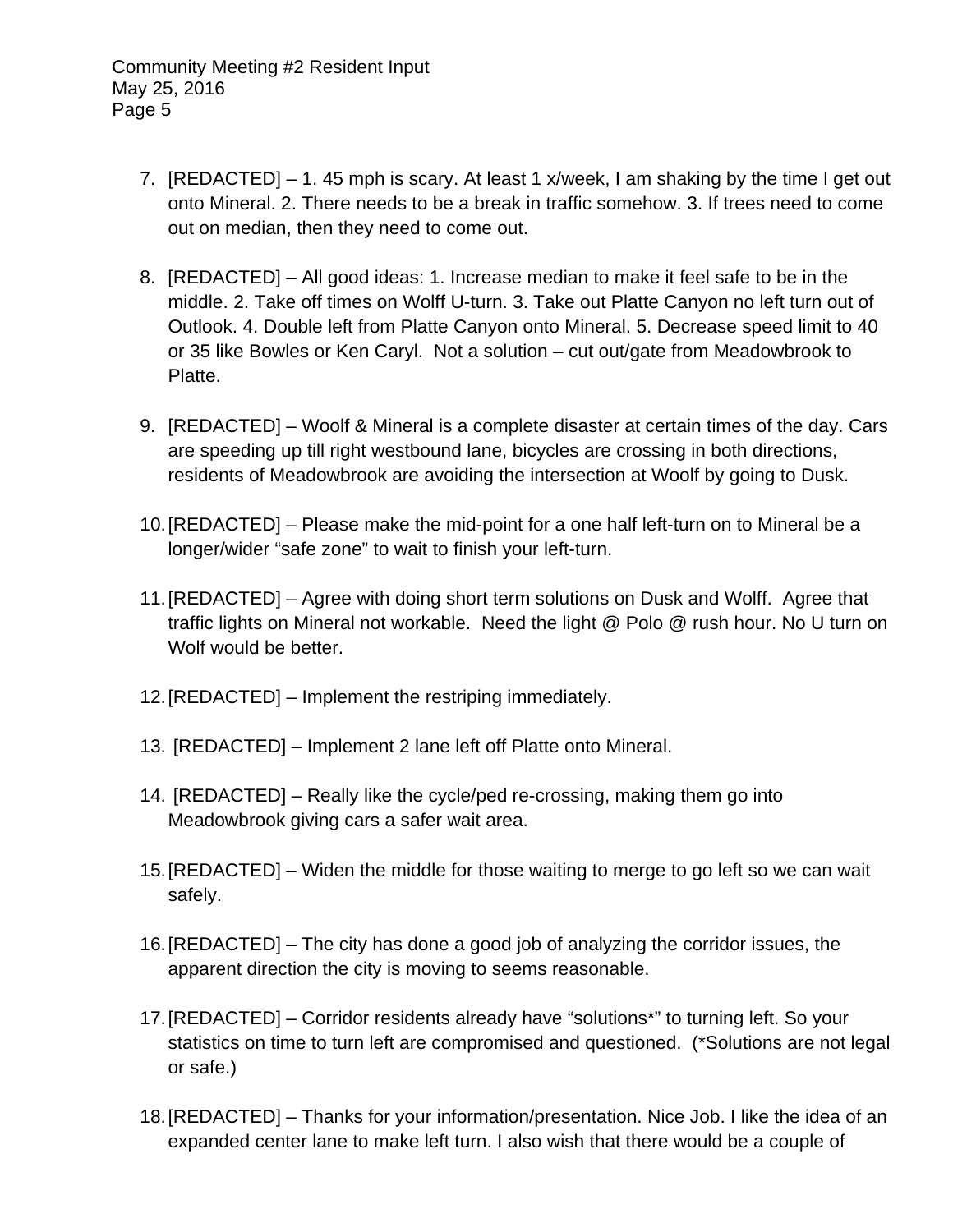- 7. [REDACTED] 1. 45 mph is scary. At least 1 x/week, I am shaking by the time I get out onto Mineral. 2. There needs to be a break in traffic somehow. 3. If trees need to come out on median, then they need to come out.
- 8. [REDACTED] All good ideas: 1. Increase median to make it feel safe to be in the middle. 2. Take off times on Wolff U-turn. 3. Take out Platte Canyon no left turn out of Outlook. 4. Double left from Platte Canyon onto Mineral. 5. Decrease speed limit to 40 or 35 like Bowles or Ken Caryl. Not a solution – cut out/gate from Meadowbrook to Platte.
- 9. [REDACTED] Woolf & Mineral is a complete disaster at certain times of the day. Cars are speeding up till right westbound lane, bicycles are crossing in both directions, residents of Meadowbrook are avoiding the intersection at Woolf by going to Dusk.
- 10. [REDACTED] Please make the mid-point for a one half left-turn on to Mineral be a longer/wider "safe zone" to wait to finish your left-turn.
- 11. [REDACTED] Agree with doing short term solutions on Dusk and Wolff. Agree that traffic lights on Mineral not workable. Need the light @ Polo @ rush hour. No U turn on Wolf would be better.
- 12. [REDACTED] Implement the restriping immediately.
- 13. [REDACTED] Implement 2 lane left off Platte onto Mineral.
- 14. [REDACTED] Really like the cycle/ped re-crossing, making them go into Meadowbrook giving cars a safer wait area.
- 15. [REDACTED] Widen the middle for those waiting to merge to go left so we can wait safely.
- 16. [REDACTED] The city has done a good job of analyzing the corridor issues, the apparent direction the city is moving to seems reasonable.
- 17. [REDACTED] Corridor residents already have "solutions\*" to turning left. So your statistics on time to turn left are compromised and questioned. (\*Solutions are not legal or safe.)
- 18. [REDACTED] Thanks for your information/presentation. Nice Job. I like the idea of an expanded center lane to make left turn. I also wish that there would be a couple of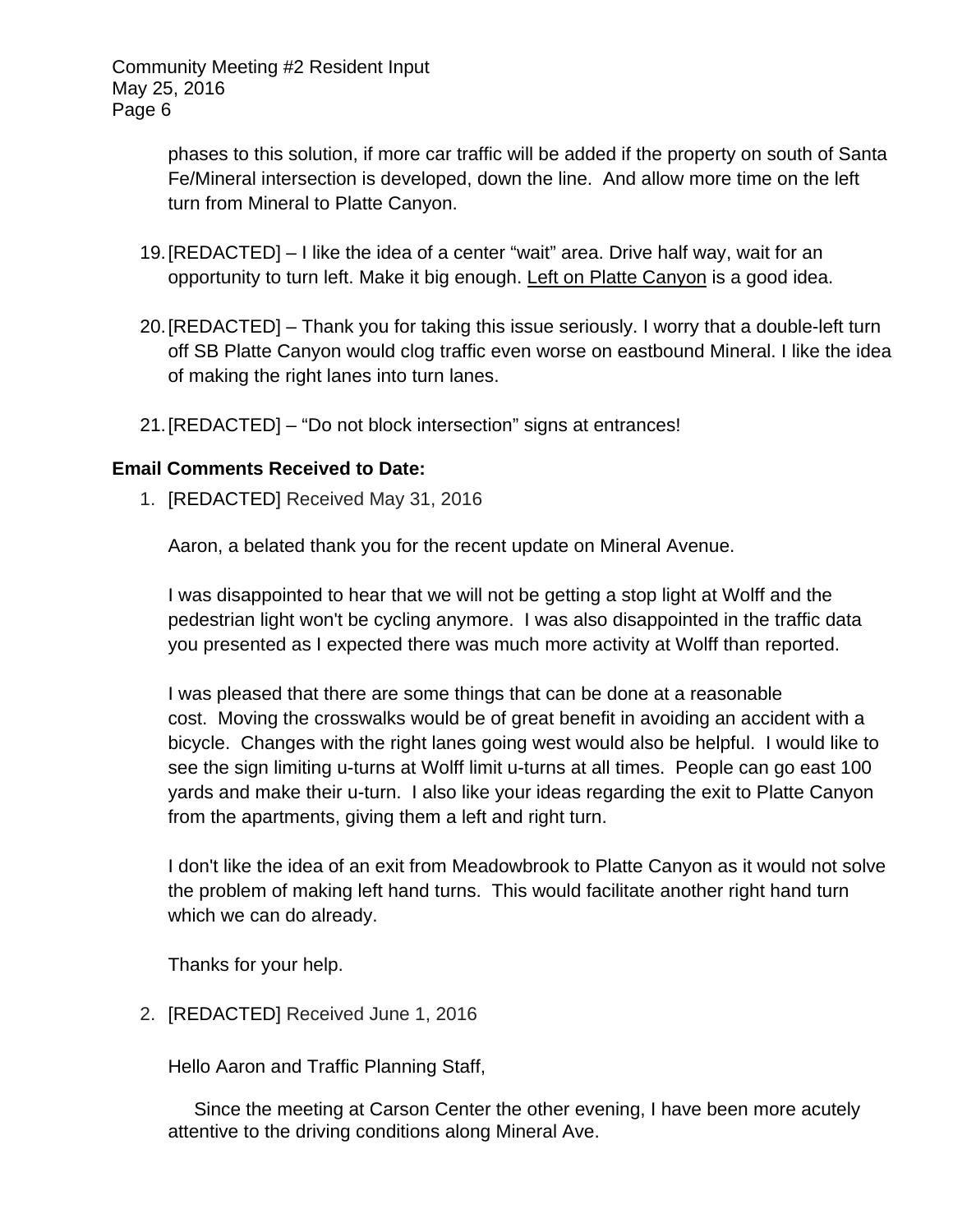> phases to this solution, if more car traffic will be added if the property on south of Santa Fe/Mineral intersection is developed, down the line. And allow more time on the left turn from Mineral to Platte Canyon.

- 19. [REDACTED] I like the idea of a center "wait" area. Drive half way, wait for an opportunity to turn left. Make it big enough. Left on Platte Canyon is a good idea.
- 20. [REDACTED] Thank you for taking this issue seriously. I worry that a double-left turn off SB Platte Canyon would clog traffic even worse on eastbound Mineral. I like the idea of making the right lanes into turn lanes.
- 21. [REDACTED] "Do not block intersection" signs at entrances!

## **Email Comments Received to Date:**

1. [REDACTED] Received May 31, 2016

Aaron, a belated thank you for the recent update on Mineral Avenue.

I was disappointed to hear that we will not be getting a stop light at Wolff and the pedestrian light won't be cycling anymore. I was also disappointed in the traffic data you presented as I expected there was much more activity at Wolff than reported.

I was pleased that there are some things that can be done at a reasonable cost. Moving the crosswalks would be of great benefit in avoiding an accident with a bicycle. Changes with the right lanes going west would also be helpful. I would like to see the sign limiting u-turns at Wolff limit u-turns at all times. People can go east 100 yards and make their u-turn. I also like your ideas regarding the exit to Platte Canyon from the apartments, giving them a left and right turn.

I don't like the idea of an exit from Meadowbrook to Platte Canyon as it would not solve the problem of making left hand turns. This would facilitate another right hand turn which we can do already.

Thanks for your help.

2. [REDACTED] Received June 1, 2016

Hello Aaron and Traffic Planning Staff,

 Since the meeting at Carson Center the other evening, I have been more acutely attentive to the driving conditions along Mineral Ave.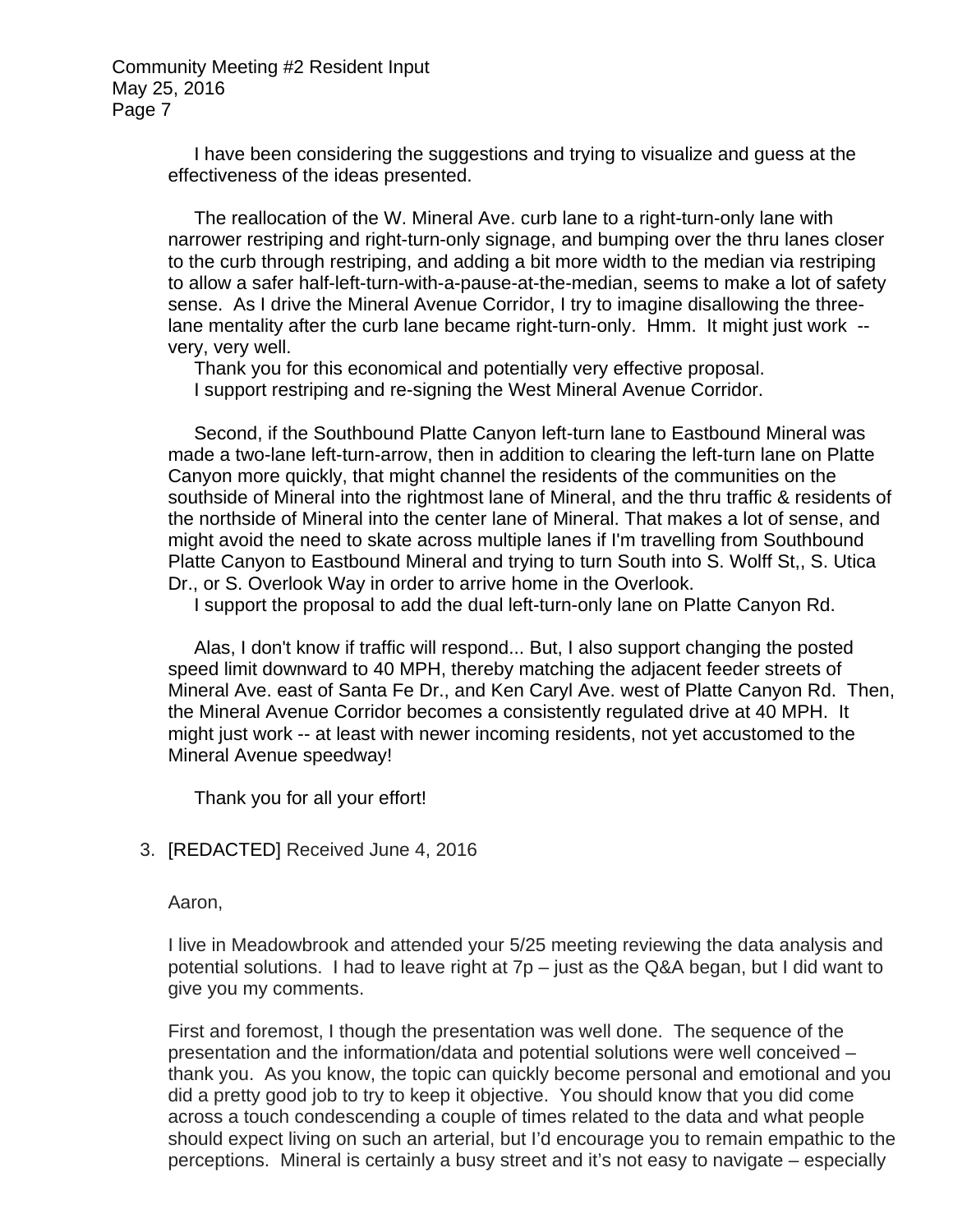> I have been considering the suggestions and trying to visualize and guess at the effectiveness of the ideas presented.

 The reallocation of the W. Mineral Ave. curb lane to a right-turn-only lane with narrower restriping and right-turn-only signage, and bumping over the thru lanes closer to the curb through restriping, and adding a bit more width to the median via restriping to allow a safer half-left-turn-with-a-pause-at-the-median, seems to make a lot of safety sense. As I drive the Mineral Avenue Corridor, I try to imagine disallowing the threelane mentality after the curb lane became right-turn-only. Hmm. It might just work - very, very well.

 Thank you for this economical and potentially very effective proposal. I support restriping and re-signing the West Mineral Avenue Corridor.

 Second, if the Southbound Platte Canyon left-turn lane to Eastbound Mineral was made a two-lane left-turn-arrow, then in addition to clearing the left-turn lane on Platte Canyon more quickly, that might channel the residents of the communities on the southside of Mineral into the rightmost lane of Mineral, and the thru traffic & residents of the northside of Mineral into the center lane of Mineral. That makes a lot of sense, and might avoid the need to skate across multiple lanes if I'm travelling from Southbound Platte Canyon to Eastbound Mineral and trying to turn South into S. Wolff St,, S. Utica Dr., or S. Overlook Way in order to arrive home in the Overlook.

I support the proposal to add the dual left-turn-only lane on Platte Canyon Rd.

 Alas, I don't know if traffic will respond... But, I also support changing the posted speed limit downward to 40 MPH, thereby matching the adjacent feeder streets of Mineral Ave. east of Santa Fe Dr., and Ken Caryl Ave. west of Platte Canyon Rd. Then, the Mineral Avenue Corridor becomes a consistently regulated drive at 40 MPH. It might just work -- at least with newer incoming residents, not yet accustomed to the Mineral Avenue speedway!

Thank you for all your effort!

3. [REDACTED] Received June 4, 2016

Aaron,

I live in Meadowbrook and attended your 5/25 meeting reviewing the data analysis and potential solutions. I had to leave right at 7p – just as the Q&A began, but I did want to give you my comments.

First and foremost, I though the presentation was well done. The sequence of the presentation and the information/data and potential solutions were well conceived – thank you. As you know, the topic can quickly become personal and emotional and you did a pretty good job to try to keep it objective. You should know that you did come across a touch condescending a couple of times related to the data and what people should expect living on such an arterial, but I'd encourage you to remain empathic to the perceptions. Mineral is certainly a busy street and it's not easy to navigate – especially